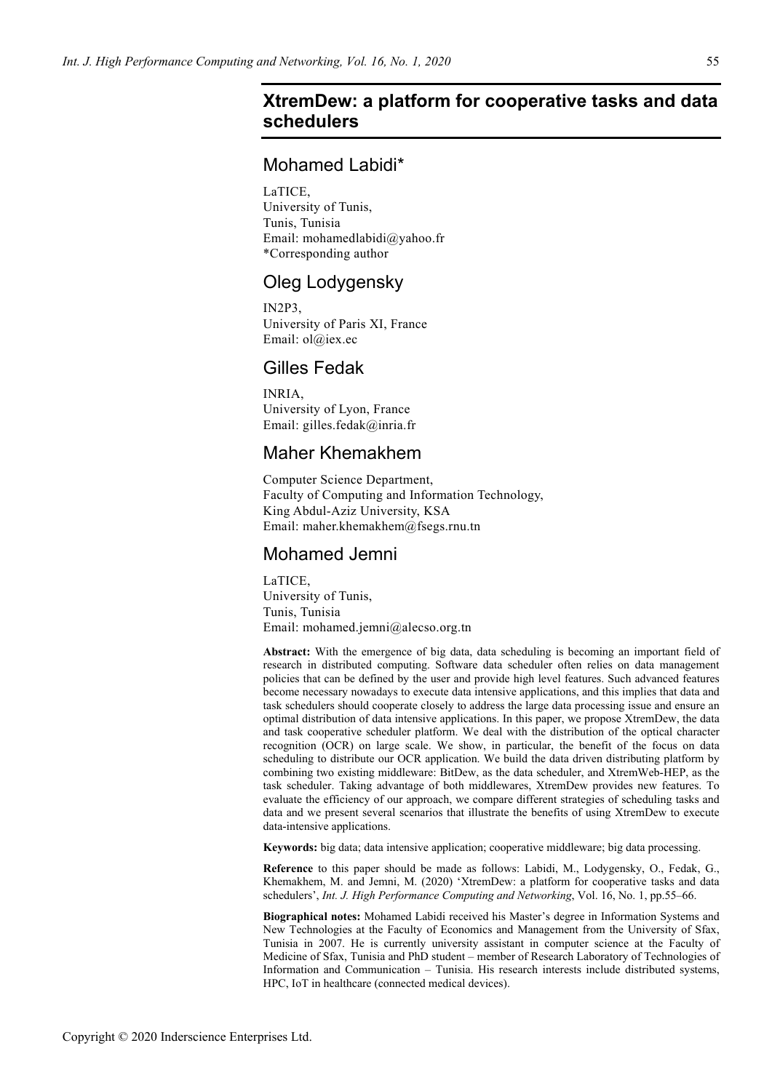# **XtremDew: a platform for cooperative tasks and data schedulers**

## Mohamed Labidi\*

LaTICE, University of Tunis, Tunis, Tunisia Email: mohamedlabidi@yahoo.fr \*Corresponding author

# Oleg Lodygensky

IN2P3, University of Paris XI, France Email: ol@iex.ec

# Gilles Fedak

INRIA, University of Lyon, France Email: gilles.fedak@inria.fr

## Maher Khemakhem

Computer Science Department, Faculty of Computing and Information Technology, King Abdul-Aziz University, KSA Email: maher.khemakhem@fsegs.rnu.tn

# Mohamed Jemni

LaTICE, University of Tunis, Tunis, Tunisia Email: mohamed.jemni@alecso.org.tn

**Abstract:** With the emergence of big data, data scheduling is becoming an important field of research in distributed computing. Software data scheduler often relies on data management policies that can be defined by the user and provide high level features. Such advanced features become necessary nowadays to execute data intensive applications, and this implies that data and task schedulers should cooperate closely to address the large data processing issue and ensure an optimal distribution of data intensive applications. In this paper, we propose XtremDew, the data and task cooperative scheduler platform. We deal with the distribution of the optical character recognition (OCR) on large scale. We show, in particular, the benefit of the focus on data scheduling to distribute our OCR application. We build the data driven distributing platform by combining two existing middleware: BitDew, as the data scheduler, and XtremWeb-HEP, as the task scheduler. Taking advantage of both middlewares, XtremDew provides new features. To evaluate the efficiency of our approach, we compare different strategies of scheduling tasks and data and we present several scenarios that illustrate the benefits of using XtremDew to execute data-intensive applications.

**Keywords:** big data; data intensive application; cooperative middleware; big data processing.

**Reference** to this paper should be made as follows: Labidi, M., Lodygensky, O., Fedak, G., Khemakhem, M. and Jemni, M. (2020) 'XtremDew: a platform for cooperative tasks and data schedulers', *Int. J. High Performance Computing and Networking*, Vol. 16, No. 1, pp.55–66.

**Biographical notes:** Mohamed Labidi received his Master's degree in Information Systems and New Technologies at the Faculty of Economics and Management from the University of Sfax, Tunisia in 2007. He is currently university assistant in computer science at the Faculty of Medicine of Sfax, Tunisia and PhD student – member of Research Laboratory of Technologies of Information and Communication – Tunisia. His research interests include distributed systems, HPC, IoT in healthcare (connected medical devices).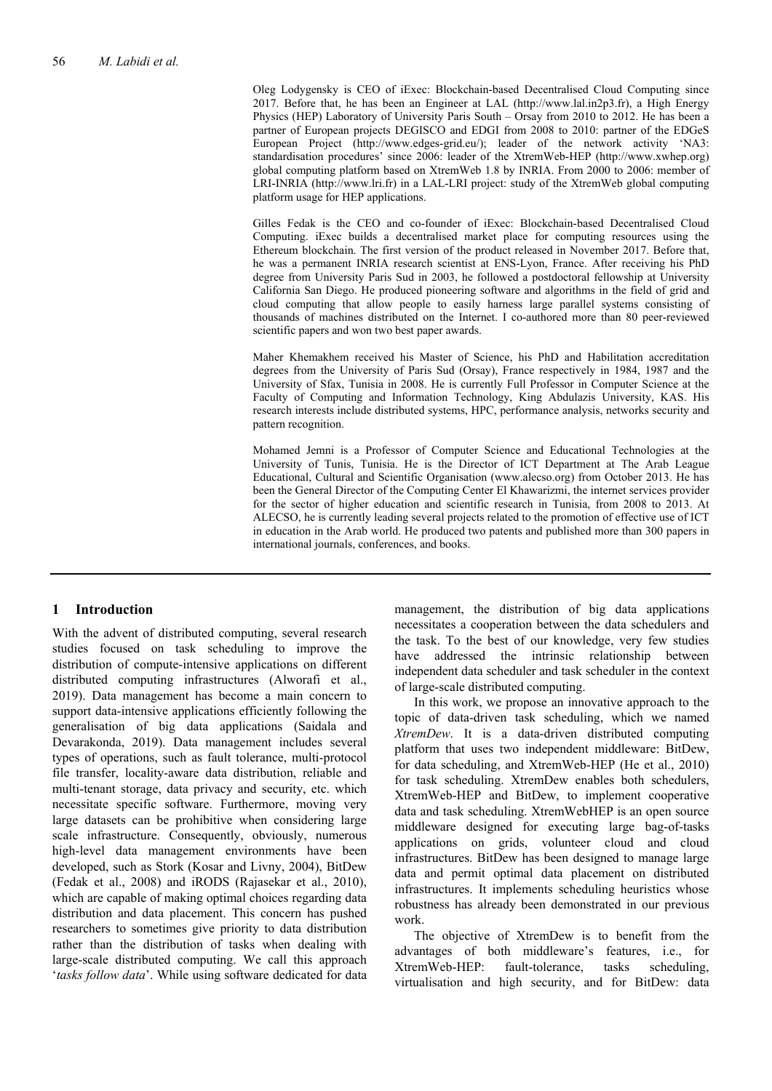Oleg Lodygensky is CEO of iExec: Blockchain-based Decentralised Cloud Computing since 2017. Before that, he has been an Engineer at LAL (http://www.lal.in2p3.fr), a High Energy Physics (HEP) Laboratory of University Paris South – Orsay from 2010 to 2012. He has been a partner of European projects DEGISCO and EDGI from 2008 to 2010: partner of the EDGeS European Project (http://www.edges-grid.eu/); leader of the network activity 'NA3: standardisation procedures' since 2006: leader of the XtremWeb-HEP (http://www.xwhep.org) global computing platform based on XtremWeb 1.8 by INRIA. From 2000 to 2006: member of LRI-INRIA (http://www.lri.fr) in a LAL-LRI project: study of the XtremWeb global computing platform usage for HEP applications.

Gilles Fedak is the CEO and co-founder of iExec: Blockchain-based Decentralised Cloud Computing. iExec builds a decentralised market place for computing resources using the Ethereum blockchain. The first version of the product released in November 2017. Before that, he was a permanent INRIA research scientist at ENS-Lyon, France. After receiving his PhD degree from University Paris Sud in 2003, he followed a postdoctoral fellowship at University California San Diego. He produced pioneering software and algorithms in the field of grid and cloud computing that allow people to easily harness large parallel systems consisting of thousands of machines distributed on the Internet. I co-authored more than 80 peer-reviewed scientific papers and won two best paper awards.

Maher Khemakhem received his Master of Science, his PhD and Habilitation accreditation degrees from the University of Paris Sud (Orsay), France respectively in 1984, 1987 and the University of Sfax, Tunisia in 2008. He is currently Full Professor in Computer Science at the Faculty of Computing and Information Technology, King Abdulazis University, KAS. His research interests include distributed systems, HPC, performance analysis, networks security and pattern recognition.

Mohamed Jemni is a Professor of Computer Science and Educational Technologies at the University of Tunis, Tunisia. He is the Director of ICT Department at The Arab League Educational, Cultural and Scientific Organisation (www.alecso.org) from October 2013. He has been the General Director of the Computing Center El Khawarizmi, the internet services provider for the sector of higher education and scientific research in Tunisia, from 2008 to 2013. At ALECSO, he is currently leading several projects related to the promotion of effective use of ICT in education in the Arab world. He produced two patents and published more than 300 papers in international journals, conferences, and books.

## **1 Introduction**

With the advent of distributed computing, several research studies focused on task scheduling to improve the distribution of compute-intensive applications on different distributed computing infrastructures (Alworafi et al., 2019). Data management has become a main concern to support data-intensive applications efficiently following the generalisation of big data applications (Saidala and Devarakonda, 2019). Data management includes several types of operations, such as fault tolerance, multi-protocol file transfer, locality-aware data distribution, reliable and multi-tenant storage, data privacy and security, etc. which necessitate specific software. Furthermore, moving very large datasets can be prohibitive when considering large scale infrastructure. Consequently, obviously, numerous high-level data management environments have been developed, such as Stork (Kosar and Livny, 2004), BitDew (Fedak et al., 2008) and iRODS (Rajasekar et al., 2010), which are capable of making optimal choices regarding data distribution and data placement. This concern has pushed researchers to sometimes give priority to data distribution rather than the distribution of tasks when dealing with large-scale distributed computing. We call this approach '*tasks follow data*'. While using software dedicated for data

management, the distribution of big data applications necessitates a cooperation between the data schedulers and the task. To the best of our knowledge, very few studies have addressed the intrinsic relationship between independent data scheduler and task scheduler in the context of large-scale distributed computing.

In this work, we propose an innovative approach to the topic of data-driven task scheduling, which we named *XtremDew*. It is a data-driven distributed computing platform that uses two independent middleware: BitDew, for data scheduling, and XtremWeb-HEP (He et al., 2010) for task scheduling. XtremDew enables both schedulers, XtremWeb-HEP and BitDew, to implement cooperative data and task scheduling. XtremWebHEP is an open source middleware designed for executing large bag-of-tasks applications on grids, volunteer cloud and cloud infrastructures. BitDew has been designed to manage large data and permit optimal data placement on distributed infrastructures. It implements scheduling heuristics whose robustness has already been demonstrated in our previous work.

The objective of XtremDew is to benefit from the advantages of both middleware's features, i.e., for XtremWeb-HEP: fault-tolerance, tasks scheduling, virtualisation and high security, and for BitDew: data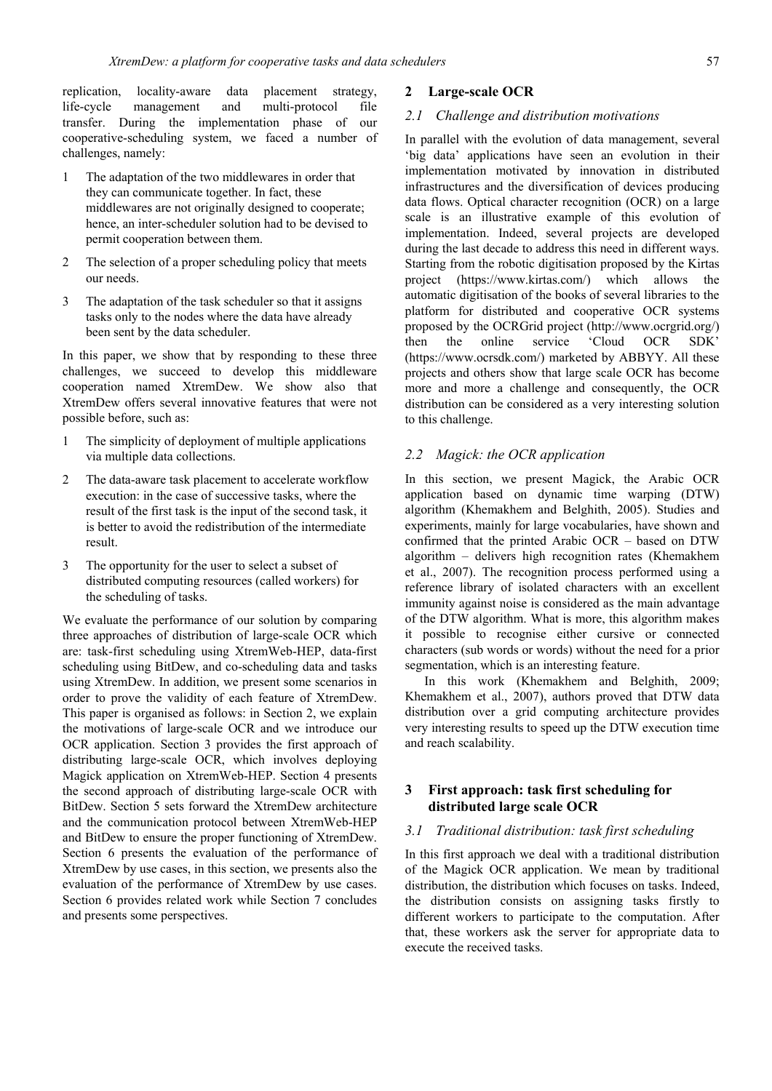replication, locality-aware data placement strategy, life-cycle management and multi-protocol file transfer. During the implementation phase of our cooperative-scheduling system, we faced a number of challenges, namely:

- 1 The adaptation of the two middlewares in order that they can communicate together. In fact, these middlewares are not originally designed to cooperate; hence, an inter-scheduler solution had to be devised to permit cooperation between them.
- 2 The selection of a proper scheduling policy that meets our needs.
- 3 The adaptation of the task scheduler so that it assigns tasks only to the nodes where the data have already been sent by the data scheduler.

In this paper, we show that by responding to these three challenges, we succeed to develop this middleware cooperation named XtremDew. We show also that XtremDew offers several innovative features that were not possible before, such as:

- 1 The simplicity of deployment of multiple applications via multiple data collections.
- 2 The data-aware task placement to accelerate workflow execution: in the case of successive tasks, where the result of the first task is the input of the second task, it is better to avoid the redistribution of the intermediate result.
- 3 The opportunity for the user to select a subset of distributed computing resources (called workers) for the scheduling of tasks.

We evaluate the performance of our solution by comparing three approaches of distribution of large-scale OCR which are: task-first scheduling using XtremWeb-HEP, data-first scheduling using BitDew, and co-scheduling data and tasks using XtremDew. In addition, we present some scenarios in order to prove the validity of each feature of XtremDew. This paper is organised as follows: in Section 2, we explain the motivations of large-scale OCR and we introduce our OCR application. Section 3 provides the first approach of distributing large-scale OCR, which involves deploying Magick application on XtremWeb-HEP. Section 4 presents the second approach of distributing large-scale OCR with BitDew. Section 5 sets forward the XtremDew architecture and the communication protocol between XtremWeb-HEP and BitDew to ensure the proper functioning of XtremDew. Section 6 presents the evaluation of the performance of XtremDew by use cases, in this section, we presents also the evaluation of the performance of XtremDew by use cases. Section 6 provides related work while Section 7 concludes and presents some perspectives.

### **2 Large-scale OCR**

#### *2.1 Challenge and distribution motivations*

In parallel with the evolution of data management, several 'big data' applications have seen an evolution in their implementation motivated by innovation in distributed infrastructures and the diversification of devices producing data flows. Optical character recognition (OCR) on a large scale is an illustrative example of this evolution of implementation. Indeed, several projects are developed during the last decade to address this need in different ways. Starting from the robotic digitisation proposed by the Kirtas project (https://www.kirtas.com/) which allows the automatic digitisation of the books of several libraries to the platform for distributed and cooperative OCR systems proposed by the OCRGrid project (http://www.ocrgrid.org/) then the online service 'Cloud OCR SDK' (https://www.ocrsdk.com/) marketed by ABBYY. All these projects and others show that large scale OCR has become more and more a challenge and consequently, the OCR distribution can be considered as a very interesting solution to this challenge.

### *2.2 Magick: the OCR application*

In this section, we present Magick, the Arabic OCR application based on dynamic time warping (DTW) algorithm (Khemakhem and Belghith, 2005). Studies and experiments, mainly for large vocabularies, have shown and confirmed that the printed Arabic OCR – based on DTW algorithm – delivers high recognition rates (Khemakhem et al., 2007). The recognition process performed using a reference library of isolated characters with an excellent immunity against noise is considered as the main advantage of the DTW algorithm. What is more, this algorithm makes it possible to recognise either cursive or connected characters (sub words or words) without the need for a prior segmentation, which is an interesting feature.

In this work (Khemakhem and Belghith, 2009; Khemakhem et al., 2007), authors proved that DTW data distribution over a grid computing architecture provides very interesting results to speed up the DTW execution time and reach scalability.

## **3 First approach: task first scheduling for distributed large scale OCR**

## *3.1 Traditional distribution: task first scheduling*

In this first approach we deal with a traditional distribution of the Magick OCR application. We mean by traditional distribution, the distribution which focuses on tasks. Indeed, the distribution consists on assigning tasks firstly to different workers to participate to the computation. After that, these workers ask the server for appropriate data to execute the received tasks.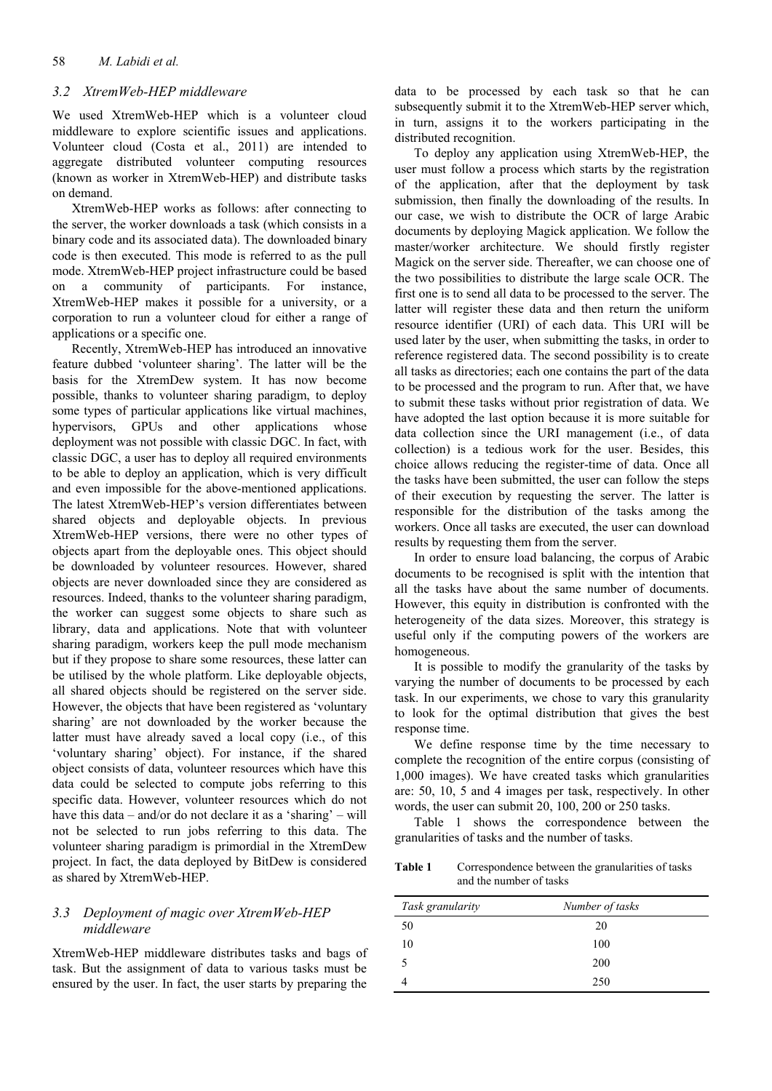#### *3.2 XtremWeb-HEP middleware*

We used XtremWeb-HEP which is a volunteer cloud middleware to explore scientific issues and applications. Volunteer cloud (Costa et al., 2011) are intended to aggregate distributed volunteer computing resources (known as worker in XtremWeb-HEP) and distribute tasks on demand.

XtremWeb-HEP works as follows: after connecting to the server, the worker downloads a task (which consists in a binary code and its associated data). The downloaded binary code is then executed. This mode is referred to as the pull mode. XtremWeb-HEP project infrastructure could be based on a community of participants. For instance, XtremWeb-HEP makes it possible for a university, or a corporation to run a volunteer cloud for either a range of applications or a specific one.

Recently, XtremWeb-HEP has introduced an innovative feature dubbed 'volunteer sharing'. The latter will be the basis for the XtremDew system. It has now become possible, thanks to volunteer sharing paradigm, to deploy some types of particular applications like virtual machines, hypervisors, GPUs and other applications whose deployment was not possible with classic DGC. In fact, with classic DGC, a user has to deploy all required environments to be able to deploy an application, which is very difficult and even impossible for the above-mentioned applications. The latest XtremWeb-HEP's version differentiates between shared objects and deployable objects. In previous XtremWeb-HEP versions, there were no other types of objects apart from the deployable ones. This object should be downloaded by volunteer resources. However, shared objects are never downloaded since they are considered as resources. Indeed, thanks to the volunteer sharing paradigm, the worker can suggest some objects to share such as library, data and applications. Note that with volunteer sharing paradigm, workers keep the pull mode mechanism but if they propose to share some resources, these latter can be utilised by the whole platform. Like deployable objects, all shared objects should be registered on the server side. However, the objects that have been registered as 'voluntary sharing' are not downloaded by the worker because the latter must have already saved a local copy (i.e., of this 'voluntary sharing' object). For instance, if the shared object consists of data, volunteer resources which have this data could be selected to compute jobs referring to this specific data. However, volunteer resources which do not have this data – and/or do not declare it as a 'sharing' – will not be selected to run jobs referring to this data. The volunteer sharing paradigm is primordial in the XtremDew project. In fact, the data deployed by BitDew is considered as shared by XtremWeb-HEP.

## *3.3 Deployment of magic over XtremWeb-HEP middleware*

XtremWeb-HEP middleware distributes tasks and bags of task. But the assignment of data to various tasks must be ensured by the user. In fact, the user starts by preparing the

data to be processed by each task so that he can subsequently submit it to the XtremWeb-HEP server which, in turn, assigns it to the workers participating in the distributed recognition.

To deploy any application using XtremWeb-HEP, the user must follow a process which starts by the registration of the application, after that the deployment by task submission, then finally the downloading of the results. In our case, we wish to distribute the OCR of large Arabic documents by deploying Magick application. We follow the master/worker architecture. We should firstly register Magick on the server side. Thereafter, we can choose one of the two possibilities to distribute the large scale OCR. The first one is to send all data to be processed to the server. The latter will register these data and then return the uniform resource identifier (URI) of each data. This URI will be used later by the user, when submitting the tasks, in order to reference registered data. The second possibility is to create all tasks as directories; each one contains the part of the data to be processed and the program to run. After that, we have to submit these tasks without prior registration of data. We have adopted the last option because it is more suitable for data collection since the URI management (i.e., of data collection) is a tedious work for the user. Besides, this choice allows reducing the register-time of data. Once all the tasks have been submitted, the user can follow the steps of their execution by requesting the server. The latter is responsible for the distribution of the tasks among the workers. Once all tasks are executed, the user can download results by requesting them from the server.

In order to ensure load balancing, the corpus of Arabic documents to be recognised is split with the intention that all the tasks have about the same number of documents. However, this equity in distribution is confronted with the heterogeneity of the data sizes. Moreover, this strategy is useful only if the computing powers of the workers are homogeneous.

It is possible to modify the granularity of the tasks by varying the number of documents to be processed by each task. In our experiments, we chose to vary this granularity to look for the optimal distribution that gives the best response time.

We define response time by the time necessary to complete the recognition of the entire corpus (consisting of 1,000 images). We have created tasks which granularities are: 50, 10, 5 and 4 images per task, respectively. In other words, the user can submit 20, 100, 200 or 250 tasks.

Table 1 shows the correspondence between the granularities of tasks and the number of tasks.

**Table 1** Correspondence between the granularities of tasks and the number of tasks

| Task granularity | Number of tasks |  |
|------------------|-----------------|--|
| 50               | 20              |  |
| 10               | 100             |  |
| 5                | 200             |  |
|                  | 250             |  |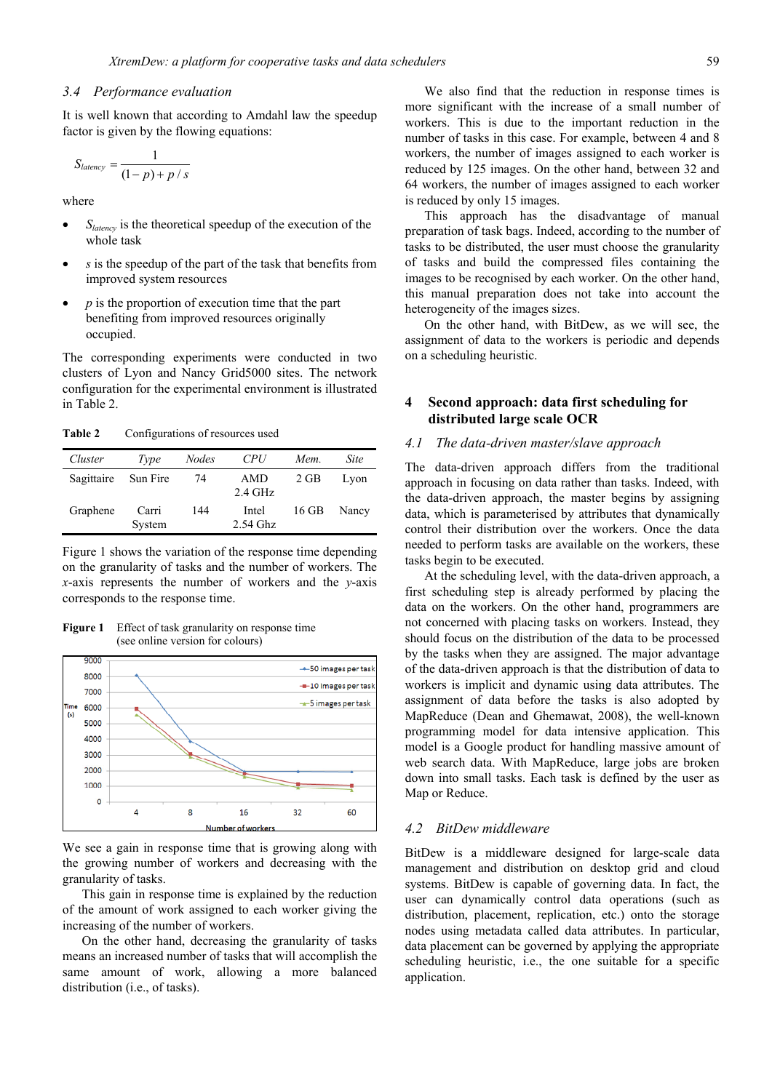#### *3.4 Performance evaluation*

It is well known that according to Amdahl law the speedup factor is given by the flowing equations:

$$
S_{latency} = \frac{1}{(1-p) + p / s}
$$

where

- *Slatency* is the theoretical speedup of the execution of the whole task
- *s* is the speedup of the part of the task that benefits from improved system resources
- *p* is the proportion of execution time that the part benefiting from improved resources originally occupied.

The corresponding experiments were conducted in two clusters of Lyon and Nancy Grid5000 sites. The network configuration for the experimental environment is illustrated in Table 2.

Table 2 Configurations of resources used

| Cluster    | Type            | <b>Nodes</b> | <b>CPU</b>          | Mem.  | Site  |
|------------|-----------------|--------------|---------------------|-------|-------|
| Sagittaire | Sun Fire        | 74           | AMD<br>$2.4$ GHz    | 2 GB  | Lvon  |
| Graphene   | Carri<br>System | 144          | Intel<br>$2.54$ Ghz | 16 GB | Nancy |

Figure 1 shows the variation of the response time depending on the granularity of tasks and the number of workers. The *x*-axis represents the number of workers and the *y*-axis corresponds to the response time.

**Figure 1** Effect of task granularity on response time (see online version for colours)



We see a gain in response time that is growing along with the growing number of workers and decreasing with the granularity of tasks.

This gain in response time is explained by the reduction of the amount of work assigned to each worker giving the increasing of the number of workers.

On the other hand, decreasing the granularity of tasks means an increased number of tasks that will accomplish the same amount of work, allowing a more balanced distribution (i.e., of tasks).

We also find that the reduction in response times is more significant with the increase of a small number of workers. This is due to the important reduction in the number of tasks in this case. For example, between 4 and 8 workers, the number of images assigned to each worker is reduced by 125 images. On the other hand, between 32 and 64 workers, the number of images assigned to each worker is reduced by only 15 images.

This approach has the disadvantage of manual preparation of task bags. Indeed, according to the number of tasks to be distributed, the user must choose the granularity of tasks and build the compressed files containing the images to be recognised by each worker. On the other hand, this manual preparation does not take into account the heterogeneity of the images sizes.

On the other hand, with BitDew, as we will see, the assignment of data to the workers is periodic and depends on a scheduling heuristic.

## **4 Second approach: data first scheduling for distributed large scale OCR**

#### *4.1 The data-driven master/slave approach*

The data-driven approach differs from the traditional approach in focusing on data rather than tasks. Indeed, with the data-driven approach, the master begins by assigning data, which is parameterised by attributes that dynamically control their distribution over the workers. Once the data needed to perform tasks are available on the workers, these tasks begin to be executed.

At the scheduling level, with the data-driven approach, a first scheduling step is already performed by placing the data on the workers. On the other hand, programmers are not concerned with placing tasks on workers. Instead, they should focus on the distribution of the data to be processed by the tasks when they are assigned. The major advantage of the data-driven approach is that the distribution of data to workers is implicit and dynamic using data attributes. The assignment of data before the tasks is also adopted by MapReduce (Dean and Ghemawat, 2008), the well-known programming model for data intensive application. This model is a Google product for handling massive amount of web search data. With MapReduce, large jobs are broken down into small tasks. Each task is defined by the user as Map or Reduce.

#### *4.2 BitDew middleware*

BitDew is a middleware designed for large-scale data management and distribution on desktop grid and cloud systems. BitDew is capable of governing data. In fact, the user can dynamically control data operations (such as distribution, placement, replication, etc.) onto the storage nodes using metadata called data attributes. In particular, data placement can be governed by applying the appropriate scheduling heuristic, i.e., the one suitable for a specific application.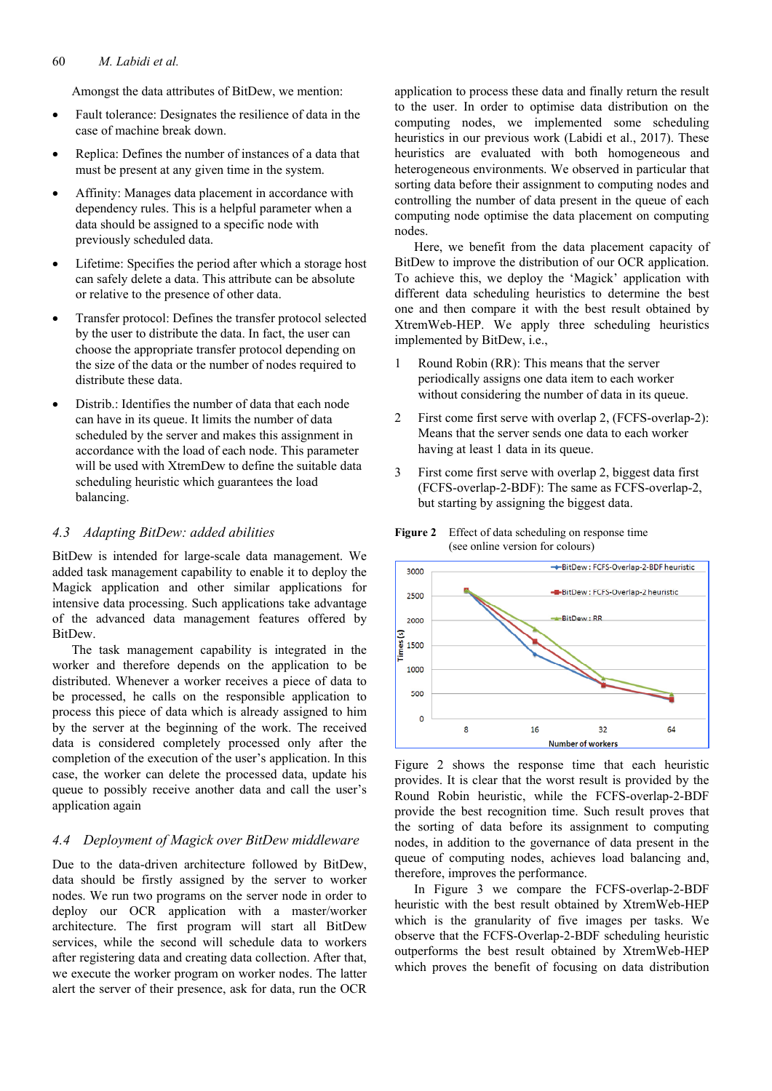Amongst the data attributes of BitDew, we mention:

- Fault tolerance: Designates the resilience of data in the case of machine break down.
- Replica: Defines the number of instances of a data that must be present at any given time in the system.
- Affinity: Manages data placement in accordance with dependency rules. This is a helpful parameter when a data should be assigned to a specific node with previously scheduled data.
- Lifetime: Specifies the period after which a storage host can safely delete a data. This attribute can be absolute or relative to the presence of other data.
- Transfer protocol: Defines the transfer protocol selected by the user to distribute the data. In fact, the user can choose the appropriate transfer protocol depending on the size of the data or the number of nodes required to distribute these data.
- Distrib.: Identifies the number of data that each node can have in its queue. It limits the number of data scheduled by the server and makes this assignment in accordance with the load of each node. This parameter will be used with XtremDew to define the suitable data scheduling heuristic which guarantees the load balancing.

### *4.3 Adapting BitDew: added abilities*

BitDew is intended for large-scale data management. We added task management capability to enable it to deploy the Magick application and other similar applications for intensive data processing. Such applications take advantage of the advanced data management features offered by **BitDew** 

The task management capability is integrated in the worker and therefore depends on the application to be distributed. Whenever a worker receives a piece of data to be processed, he calls on the responsible application to process this piece of data which is already assigned to him by the server at the beginning of the work. The received data is considered completely processed only after the completion of the execution of the user's application. In this case, the worker can delete the processed data, update his queue to possibly receive another data and call the user's application again

#### *4.4 Deployment of Magick over BitDew middleware*

Due to the data-driven architecture followed by BitDew, data should be firstly assigned by the server to worker nodes. We run two programs on the server node in order to deploy our OCR application with a master/worker architecture. The first program will start all BitDew services, while the second will schedule data to workers after registering data and creating data collection. After that, we execute the worker program on worker nodes. The latter alert the server of their presence, ask for data, run the OCR application to process these data and finally return the result to the user. In order to optimise data distribution on the computing nodes, we implemented some scheduling heuristics in our previous work (Labidi et al., 2017). These heuristics are evaluated with both homogeneous and heterogeneous environments. We observed in particular that sorting data before their assignment to computing nodes and controlling the number of data present in the queue of each computing node optimise the data placement on computing nodes.

Here, we benefit from the data placement capacity of BitDew to improve the distribution of our OCR application. To achieve this, we deploy the 'Magick' application with different data scheduling heuristics to determine the best one and then compare it with the best result obtained by XtremWeb-HEP. We apply three scheduling heuristics implemented by BitDew, i.e.,

- Round Robin (RR): This means that the server periodically assigns one data item to each worker without considering the number of data in its queue.
- 2 First come first serve with overlap 2, (FCFS-overlap-2): Means that the server sends one data to each worker having at least 1 data in its queue.
- 3 First come first serve with overlap 2, biggest data first (FCFS-overlap-2-BDF): The same as FCFS-overlap-2, but starting by assigning the biggest data.



**Figure 2** Effect of data scheduling on response time (see online version for colours)

Figure 2 shows the response time that each heuristic provides. It is clear that the worst result is provided by the Round Robin heuristic, while the FCFS-overlap-2-BDF provide the best recognition time. Such result proves that the sorting of data before its assignment to computing nodes, in addition to the governance of data present in the queue of computing nodes, achieves load balancing and, therefore, improves the performance.

In Figure 3 we compare the FCFS-overlap-2-BDF heuristic with the best result obtained by XtremWeb-HEP which is the granularity of five images per tasks. We observe that the FCFS-Overlap-2-BDF scheduling heuristic outperforms the best result obtained by XtremWeb-HEP which proves the benefit of focusing on data distribution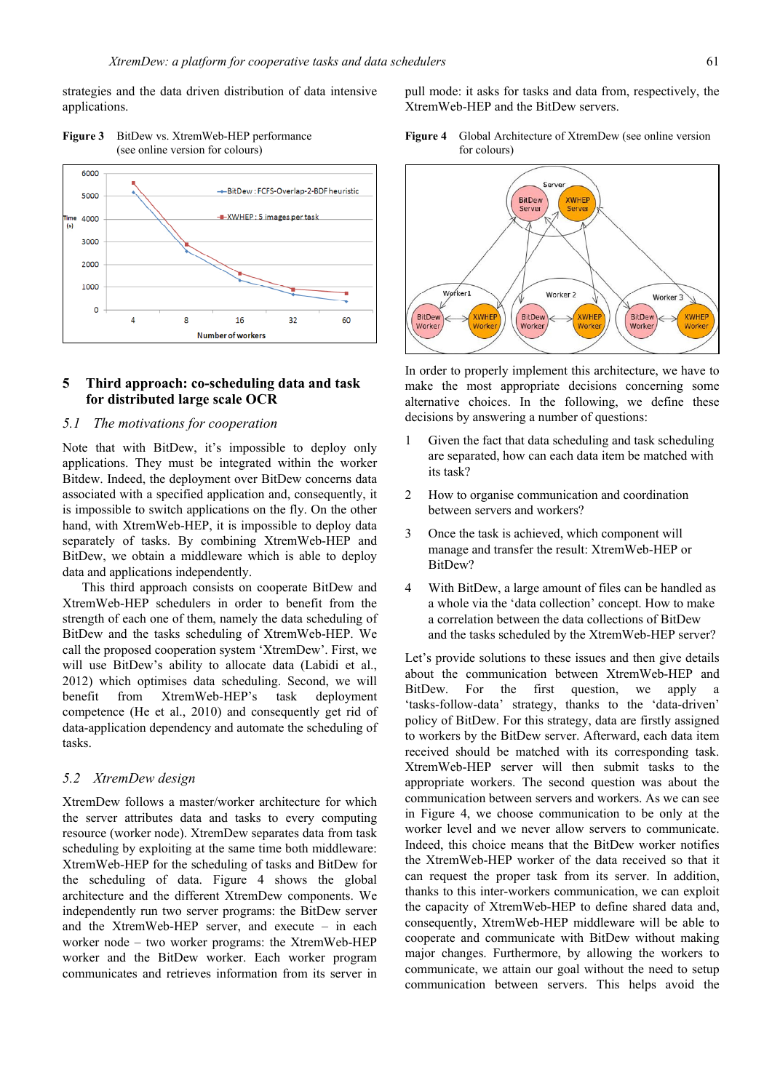strategies and the data driven distribution of data intensive applications.



**Figure 3** BitDew vs. XtremWeb-HEP performance (see online version for colours)

### **5 Third approach: co-scheduling data and task for distributed large scale OCR**

## *5.1 The motivations for cooperation*

Note that with BitDew, it's impossible to deploy only applications. They must be integrated within the worker Bitdew. Indeed, the deployment over BitDew concerns data associated with a specified application and, consequently, it is impossible to switch applications on the fly. On the other hand, with XtremWeb-HEP, it is impossible to deploy data separately of tasks. By combining XtremWeb-HEP and BitDew, we obtain a middleware which is able to deploy data and applications independently.

This third approach consists on cooperate BitDew and XtremWeb-HEP schedulers in order to benefit from the strength of each one of them, namely the data scheduling of BitDew and the tasks scheduling of XtremWeb-HEP. We call the proposed cooperation system 'XtremDew'. First, we will use BitDew's ability to allocate data (Labidi et al., 2012) which optimises data scheduling. Second, we will benefit from XtremWeb-HEP's task deployment competence (He et al., 2010) and consequently get rid of data-application dependency and automate the scheduling of tasks.

### *5.2 XtremDew design*

XtremDew follows a master/worker architecture for which the server attributes data and tasks to every computing resource (worker node). XtremDew separates data from task scheduling by exploiting at the same time both middleware: XtremWeb-HEP for the scheduling of tasks and BitDew for the scheduling of data. Figure 4 shows the global architecture and the different XtremDew components. We independently run two server programs: the BitDew server and the XtremWeb-HEP server, and execute – in each worker node – two worker programs: the XtremWeb-HEP worker and the BitDew worker. Each worker program communicates and retrieves information from its server in

pull mode: it asks for tasks and data from, respectively, the XtremWeb-HEP and the BitDew servers.

**Figure 4** Global Architecture of XtremDew (see online version for colours)



In order to properly implement this architecture, we have to make the most appropriate decisions concerning some alternative choices. In the following, we define these decisions by answering a number of questions:

- 1 Given the fact that data scheduling and task scheduling are separated, how can each data item be matched with its task?
- 2 How to organise communication and coordination between servers and workers?
- 3 Once the task is achieved, which component will manage and transfer the result: XtremWeb-HEP or BitDew?
- 4 With BitDew, a large amount of files can be handled as a whole via the 'data collection' concept. How to make a correlation between the data collections of BitDew and the tasks scheduled by the XtremWeb-HEP server?

Let's provide solutions to these issues and then give details about the communication between XtremWeb-HEP and BitDew. For the first question, we apply a 'tasks-follow-data' strategy, thanks to the 'data-driven' policy of BitDew. For this strategy, data are firstly assigned to workers by the BitDew server. Afterward, each data item received should be matched with its corresponding task. XtremWeb-HEP server will then submit tasks to the appropriate workers. The second question was about the communication between servers and workers. As we can see in Figure 4, we choose communication to be only at the worker level and we never allow servers to communicate. Indeed, this choice means that the BitDew worker notifies the XtremWeb-HEP worker of the data received so that it can request the proper task from its server. In addition, thanks to this inter-workers communication, we can exploit the capacity of XtremWeb-HEP to define shared data and, consequently, XtremWeb-HEP middleware will be able to cooperate and communicate with BitDew without making major changes. Furthermore, by allowing the workers to communicate, we attain our goal without the need to setup communication between servers. This helps avoid the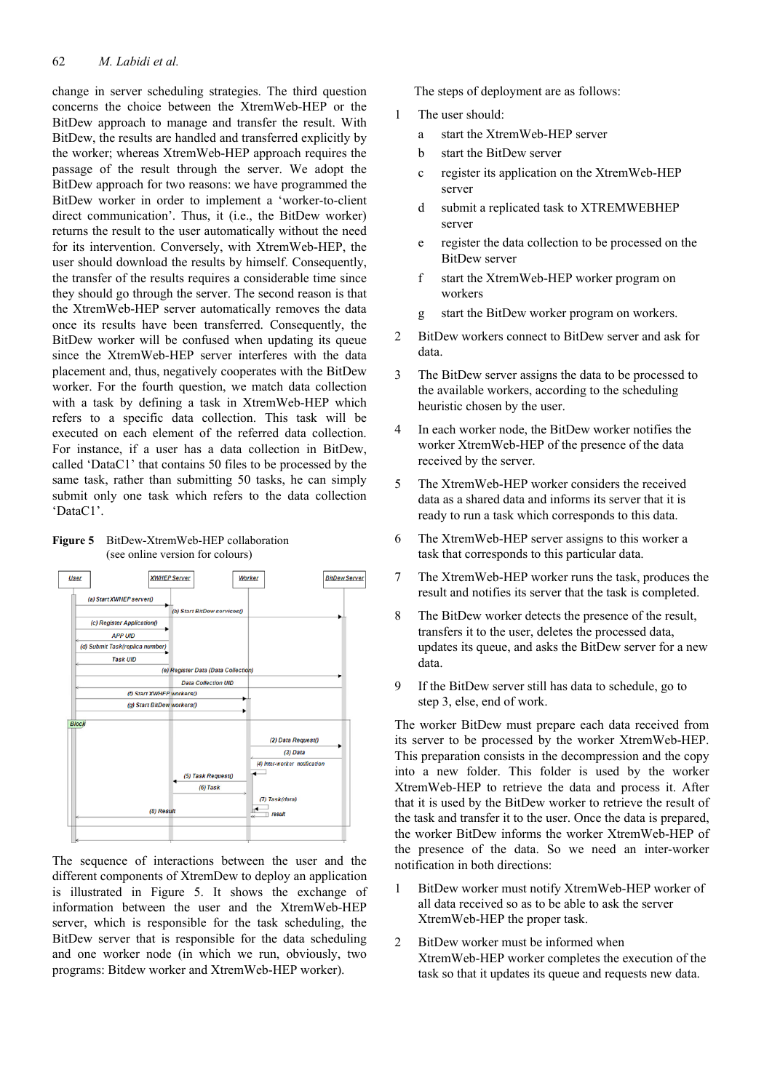#### 62 *M. Labidi et al.*

change in server scheduling strategies. The third question concerns the choice between the XtremWeb-HEP or the BitDew approach to manage and transfer the result. With BitDew, the results are handled and transferred explicitly by the worker; whereas XtremWeb-HEP approach requires the passage of the result through the server. We adopt the BitDew approach for two reasons: we have programmed the BitDew worker in order to implement a 'worker-to-client direct communication'. Thus, it (i.e., the BitDew worker) returns the result to the user automatically without the need for its intervention. Conversely, with XtremWeb-HEP, the user should download the results by himself. Consequently, the transfer of the results requires a considerable time since they should go through the server. The second reason is that the XtremWeb-HEP server automatically removes the data once its results have been transferred. Consequently, the BitDew worker will be confused when updating its queue since the XtremWeb-HEP server interferes with the data placement and, thus, negatively cooperates with the BitDew worker. For the fourth question, we match data collection with a task by defining a task in XtremWeb-HEP which refers to a specific data collection. This task will be executed on each element of the referred data collection. For instance, if a user has a data collection in BitDew, called 'DataC1' that contains 50 files to be processed by the same task, rather than submitting 50 tasks, he can simply submit only one task which refers to the data collection 'DataC1'.



The sequence of interactions between the user and the different components of XtremDew to deploy an application is illustrated in Figure 5. It shows the exchange of information between the user and the XtremWeb-HEP server, which is responsible for the task scheduling, the BitDew server that is responsible for the data scheduling and one worker node (in which we run, obviously, two programs: Bitdew worker and XtremWeb-HEP worker).

The steps of deployment are as follows:

- 1 The user should:
	- a start the XtremWeb-HEP server
	- b start the BitDew server
	- c register its application on the XtremWeb-HEP server
	- d submit a replicated task to XTREMWEBHEP server
	- e register the data collection to be processed on the BitDew server
	- f start the XtremWeb-HEP worker program on workers
	- g start the BitDew worker program on workers.
- 2 BitDew workers connect to BitDew server and ask for data.
- 3 The BitDew server assigns the data to be processed to the available workers, according to the scheduling heuristic chosen by the user.
- 4 In each worker node, the BitDew worker notifies the worker XtremWeb-HEP of the presence of the data received by the server.
- 5 The XtremWeb-HEP worker considers the received data as a shared data and informs its server that it is ready to run a task which corresponds to this data.
- 6 The XtremWeb-HEP server assigns to this worker a task that corresponds to this particular data.
- 7 The XtremWeb-HEP worker runs the task, produces the result and notifies its server that the task is completed.
- 8 The BitDew worker detects the presence of the result, transfers it to the user, deletes the processed data, updates its queue, and asks the BitDew server for a new data.
- 9 If the BitDew server still has data to schedule, go to step 3, else, end of work.

The worker BitDew must prepare each data received from its server to be processed by the worker XtremWeb-HEP. This preparation consists in the decompression and the copy into a new folder. This folder is used by the worker XtremWeb-HEP to retrieve the data and process it. After that it is used by the BitDew worker to retrieve the result of the task and transfer it to the user. Once the data is prepared, the worker BitDew informs the worker XtremWeb-HEP of the presence of the data. So we need an inter-worker notification in both directions:

- 1 BitDew worker must notify XtremWeb-HEP worker of all data received so as to be able to ask the server XtremWeb-HEP the proper task.
- 2 BitDew worker must be informed when XtremWeb-HEP worker completes the execution of the task so that it updates its queue and requests new data.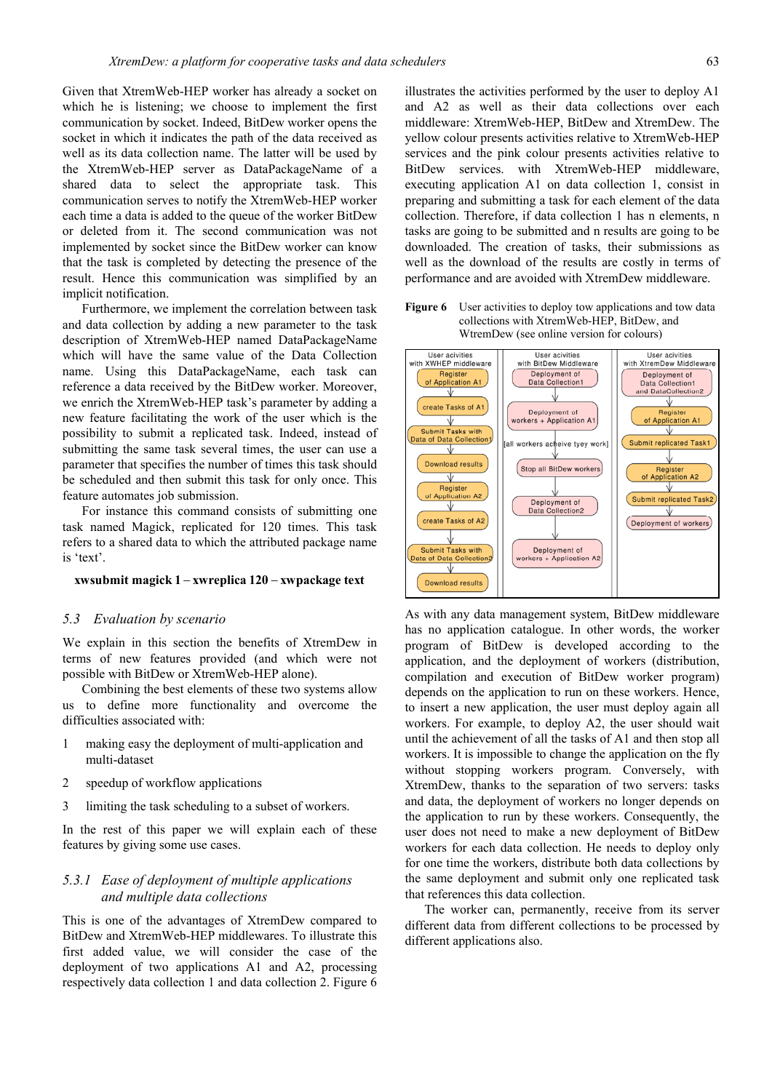Given that XtremWeb-HEP worker has already a socket on which he is listening; we choose to implement the first communication by socket. Indeed, BitDew worker opens the socket in which it indicates the path of the data received as well as its data collection name. The latter will be used by the XtremWeb-HEP server as DataPackageName of a shared data to select the appropriate task. This communication serves to notify the XtremWeb-HEP worker each time a data is added to the queue of the worker BitDew or deleted from it. The second communication was not implemented by socket since the BitDew worker can know that the task is completed by detecting the presence of the result. Hence this communication was simplified by an implicit notification.

Furthermore, we implement the correlation between task and data collection by adding a new parameter to the task description of XtremWeb-HEP named DataPackageName which will have the same value of the Data Collection name. Using this DataPackageName, each task can reference a data received by the BitDew worker. Moreover, we enrich the XtremWeb-HEP task's parameter by adding a new feature facilitating the work of the user which is the possibility to submit a replicated task. Indeed, instead of submitting the same task several times, the user can use a parameter that specifies the number of times this task should be scheduled and then submit this task for only once. This feature automates job submission.

For instance this command consists of submitting one task named Magick, replicated for 120 times. This task refers to a shared data to which the attributed package name is 'text'.

#### **xwsubmit magick 1 - xwreplica 120 - xwpackage text**

## *5.3 Evaluation by scenario*

We explain in this section the benefits of XtremDew in terms of new features provided (and which were not possible with BitDew or XtremWeb-HEP alone).

Combining the best elements of these two systems allow us to define more functionality and overcome the difficulties associated with:

- 1 making easy the deployment of multi-application and multi-dataset
- 2 speedup of workflow applications
- 3 limiting the task scheduling to a subset of workers.

In the rest of this paper we will explain each of these features by giving some use cases.

## *5.3.1 Ease of deployment of multiple applications and multiple data collections*

This is one of the advantages of XtremDew compared to BitDew and XtremWeb-HEP middlewares. To illustrate this first added value, we will consider the case of the deployment of two applications A1 and A2, processing respectively data collection 1 and data collection 2. Figure 6

illustrates the activities performed by the user to deploy A1 and A2 as well as their data collections over each middleware: XtremWeb-HEP, BitDew and XtremDew. The yellow colour presents activities relative to XtremWeb-HEP services and the pink colour presents activities relative to BitDew services. with XtremWeb-HEP middleware, executing application A1 on data collection 1, consist in preparing and submitting a task for each element of the data collection. Therefore, if data collection 1 has n elements, n tasks are going to be submitted and n results are going to be downloaded. The creation of tasks, their submissions as well as the download of the results are costly in terms of performance and are avoided with XtremDew middleware.





As with any data management system, BitDew middleware has no application catalogue. In other words, the worker program of BitDew is developed according to the application, and the deployment of workers (distribution, compilation and execution of BitDew worker program) depends on the application to run on these workers. Hence, to insert a new application, the user must deploy again all workers. For example, to deploy A2, the user should wait until the achievement of all the tasks of A1 and then stop all workers. It is impossible to change the application on the fly without stopping workers program. Conversely, with XtremDew, thanks to the separation of two servers: tasks and data, the deployment of workers no longer depends on the application to run by these workers. Consequently, the user does not need to make a new deployment of BitDew workers for each data collection. He needs to deploy only for one time the workers, distribute both data collections by the same deployment and submit only one replicated task that references this data collection.

The worker can, permanently, receive from its server different data from different collections to be processed by different applications also.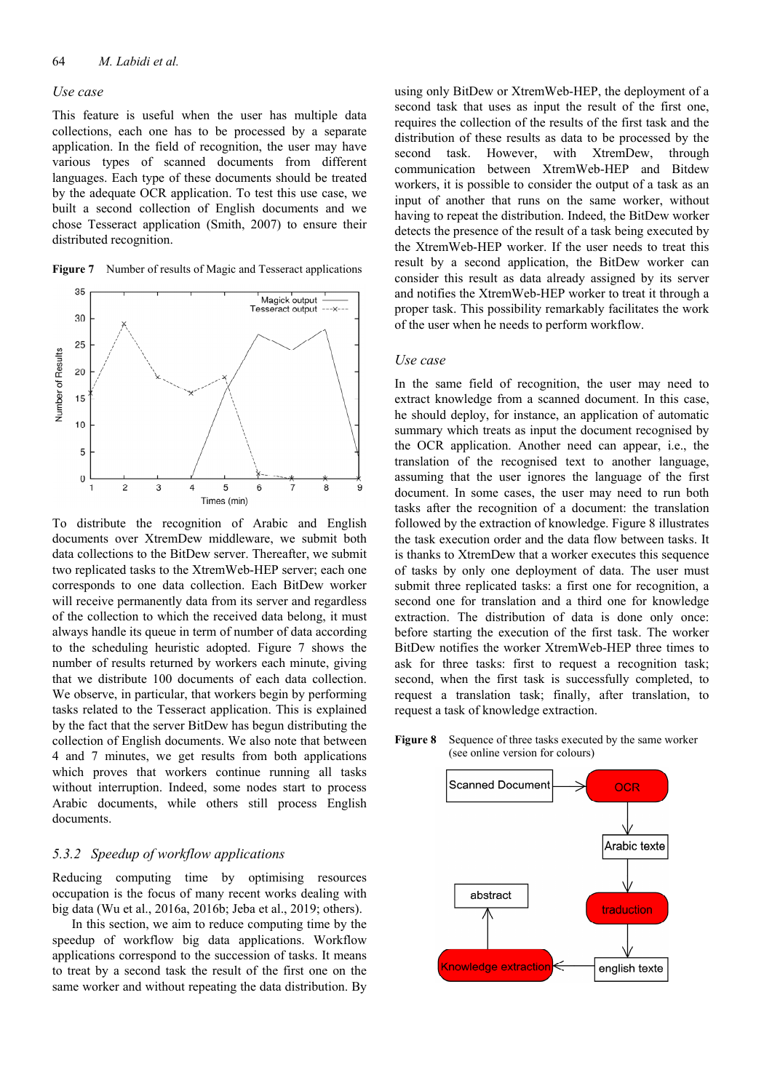### *Use case*

This feature is useful when the user has multiple data collections, each one has to be processed by a separate application. In the field of recognition, the user may have various types of scanned documents from different languages. Each type of these documents should be treated by the adequate OCR application. To test this use case, we built a second collection of English documents and we chose Tesseract application (Smith, 2007) to ensure their distributed recognition.

**Figure 7** Number of results of Magic and Tesseract applications



To distribute the recognition of Arabic and English documents over XtremDew middleware, we submit both data collections to the BitDew server. Thereafter, we submit two replicated tasks to the XtremWeb-HEP server; each one corresponds to one data collection. Each BitDew worker will receive permanently data from its server and regardless of the collection to which the received data belong, it must always handle its queue in term of number of data according to the scheduling heuristic adopted. Figure 7 shows the number of results returned by workers each minute, giving that we distribute 100 documents of each data collection. We observe, in particular, that workers begin by performing tasks related to the Tesseract application. This is explained by the fact that the server BitDew has begun distributing the collection of English documents. We also note that between 4 and 7 minutes, we get results from both applications which proves that workers continue running all tasks without interruption. Indeed, some nodes start to process Arabic documents, while others still process English documents.

#### *5.3.2 Speedup of workflow applications*

Reducing computing time by optimising resources occupation is the focus of many recent works dealing with big data (Wu et al., 2016a, 2016b; Jeba et al., 2019; others).

In this section, we aim to reduce computing time by the speedup of workflow big data applications. Workflow applications correspond to the succession of tasks. It means to treat by a second task the result of the first one on the same worker and without repeating the data distribution. By using only BitDew or XtremWeb-HEP, the deployment of a second task that uses as input the result of the first one, requires the collection of the results of the first task and the distribution of these results as data to be processed by the second task. However, with XtremDew, through communication between XtremWeb-HEP and Bitdew workers, it is possible to consider the output of a task as an input of another that runs on the same worker, without having to repeat the distribution. Indeed, the BitDew worker detects the presence of the result of a task being executed by the XtremWeb-HEP worker. If the user needs to treat this result by a second application, the BitDew worker can consider this result as data already assigned by its server and notifies the XtremWeb-HEP worker to treat it through a proper task. This possibility remarkably facilitates the work of the user when he needs to perform workflow.

## *Use case*

In the same field of recognition, the user may need to extract knowledge from a scanned document. In this case, he should deploy, for instance, an application of automatic summary which treats as input the document recognised by the OCR application. Another need can appear, i.e., the translation of the recognised text to another language, assuming that the user ignores the language of the first document. In some cases, the user may need to run both tasks after the recognition of a document: the translation followed by the extraction of knowledge. Figure 8 illustrates the task execution order and the data flow between tasks. It is thanks to XtremDew that a worker executes this sequence of tasks by only one deployment of data. The user must submit three replicated tasks: a first one for recognition, a second one for translation and a third one for knowledge extraction. The distribution of data is done only once: before starting the execution of the first task. The worker BitDew notifies the worker XtremWeb-HEP three times to ask for three tasks: first to request a recognition task; second, when the first task is successfully completed, to request a translation task; finally, after translation, to request a task of knowledge extraction.

**Figure 8** Sequence of three tasks executed by the same worker (see online version for colours)

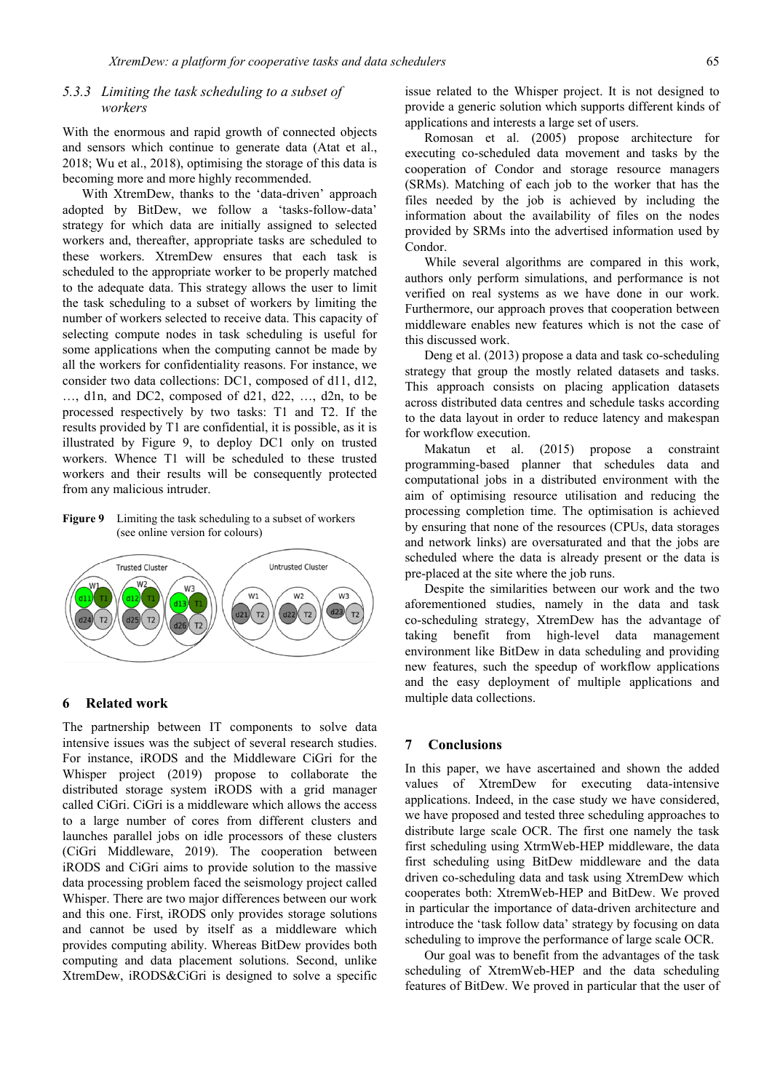#### *5.3.3 Limiting the task scheduling to a subset of workers*

With the enormous and rapid growth of connected objects and sensors which continue to generate data (Atat et al., 2018; Wu et al., 2018), optimising the storage of this data is becoming more and more highly recommended.

With XtremDew, thanks to the 'data-driven' approach adopted by BitDew, we follow a 'tasks-follow-data' strategy for which data are initially assigned to selected workers and, thereafter, appropriate tasks are scheduled to these workers. XtremDew ensures that each task is scheduled to the appropriate worker to be properly matched to the adequate data. This strategy allows the user to limit the task scheduling to a subset of workers by limiting the number of workers selected to receive data. This capacity of selecting compute nodes in task scheduling is useful for some applications when the computing cannot be made by all the workers for confidentiality reasons. For instance, we consider two data collections: DC1, composed of d11, d12, …, d1n, and DC2, composed of d21, d22, …, d2n, to be processed respectively by two tasks: T1 and T2. If the results provided by T1 are confidential, it is possible, as it is illustrated by Figure 9, to deploy DC1 only on trusted workers. Whence T1 will be scheduled to these trusted workers and their results will be consequently protected from any malicious intruder.

**Figure 9** Limiting the task scheduling to a subset of workers (see online version for colours)



### **6 Related work**

The partnership between IT components to solve data intensive issues was the subject of several research studies. For instance, iRODS and the Middleware CiGri for the Whisper project (2019) propose to collaborate the distributed storage system iRODS with a grid manager called CiGri. CiGri is a middleware which allows the access to a large number of cores from different clusters and launches parallel jobs on idle processors of these clusters (CiGri Middleware, 2019). The cooperation between iRODS and CiGri aims to provide solution to the massive data processing problem faced the seismology project called Whisper. There are two major differences between our work and this one. First, iRODS only provides storage solutions and cannot be used by itself as a middleware which provides computing ability. Whereas BitDew provides both computing and data placement solutions. Second, unlike XtremDew, iRODS&CiGri is designed to solve a specific

issue related to the Whisper project. It is not designed to provide a generic solution which supports different kinds of applications and interests a large set of users.

Romosan et al. (2005) propose architecture for executing co-scheduled data movement and tasks by the cooperation of Condor and storage resource managers (SRMs). Matching of each job to the worker that has the files needed by the job is achieved by including the information about the availability of files on the nodes provided by SRMs into the advertised information used by Condor.

While several algorithms are compared in this work, authors only perform simulations, and performance is not verified on real systems as we have done in our work. Furthermore, our approach proves that cooperation between middleware enables new features which is not the case of this discussed work.

Deng et al. (2013) propose a data and task co-scheduling strategy that group the mostly related datasets and tasks. This approach consists on placing application datasets across distributed data centres and schedule tasks according to the data layout in order to reduce latency and makespan for workflow execution.

Makatun et al. (2015) propose a constraint programming-based planner that schedules data and computational jobs in a distributed environment with the aim of optimising resource utilisation and reducing the processing completion time. The optimisation is achieved by ensuring that none of the resources (CPUs, data storages and network links) are oversaturated and that the jobs are scheduled where the data is already present or the data is pre-placed at the site where the job runs.

Despite the similarities between our work and the two aforementioned studies, namely in the data and task co-scheduling strategy, XtremDew has the advantage of taking benefit from high-level data management environment like BitDew in data scheduling and providing new features, such the speedup of workflow applications and the easy deployment of multiple applications and multiple data collections.

#### **7 Conclusions**

In this paper, we have ascertained and shown the added values of XtremDew for executing data-intensive applications. Indeed, in the case study we have considered, we have proposed and tested three scheduling approaches to distribute large scale OCR. The first one namely the task first scheduling using XtrmWeb-HEP middleware, the data first scheduling using BitDew middleware and the data driven co-scheduling data and task using XtremDew which cooperates both: XtremWeb-HEP and BitDew. We proved in particular the importance of data-driven architecture and introduce the 'task follow data' strategy by focusing on data scheduling to improve the performance of large scale OCR.

Our goal was to benefit from the advantages of the task scheduling of XtremWeb-HEP and the data scheduling features of BitDew. We proved in particular that the user of